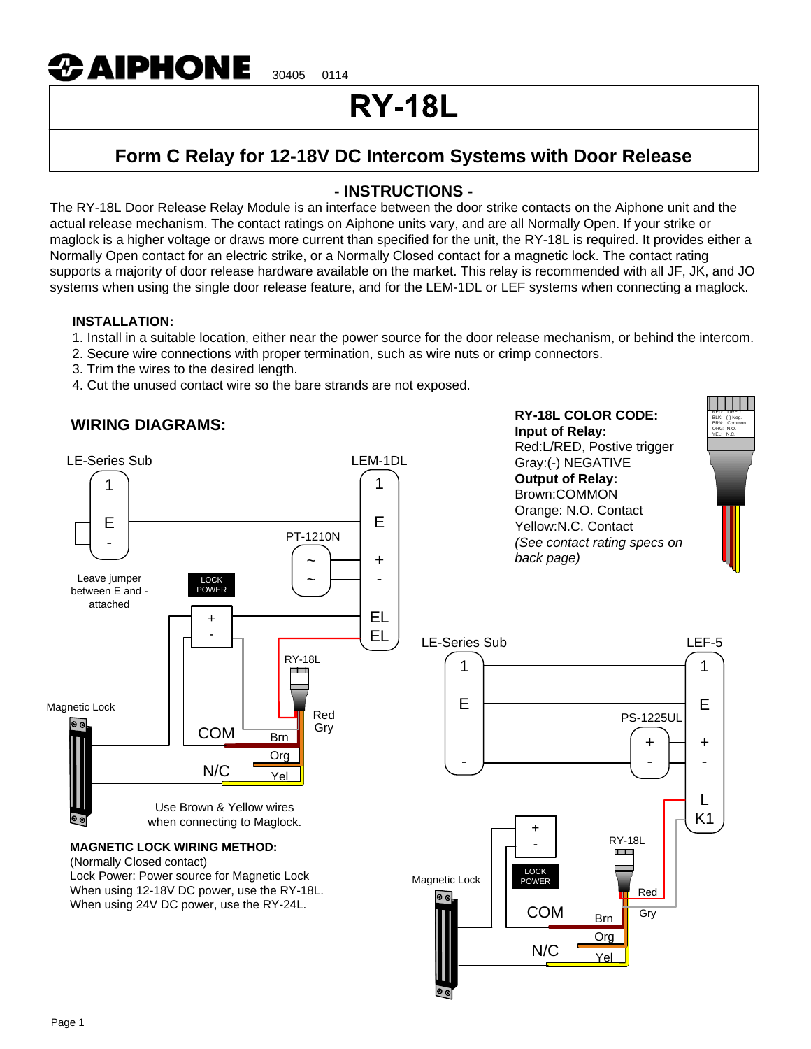

# **RY-18L**

# **Form C Relay for 12-18V DC Intercom Systems with Door Release**

# **- INSTRUCTIONS -**

The RY-18L Door Release Relay Module is an interface between the door strike contacts on the Aiphone unit and the actual release mechanism. The contact ratings on Aiphone units vary, and are all Normally Open. If your strike or maglock is a higher voltage or draws more current than specified for the unit, the RY-18L is required. It provides either a Normally Open contact for an electric strike, or a Normally Closed contact for a magnetic lock. The contact rating supports a majority of door release hardware available on the market. This relay is recommended with all JF, JK, and JO systems when using the single door release feature, and for the LEM-1DL or LEF systems when connecting a maglock.

#### **INSTALLATION:**

- 1. Install in a suitable location, either near the power source for the door release mechanism, or behind the intercom.
- 2. Secure wire connections with proper termination, such as wire nuts or crimp connectors.
- 3. Trim the wires to the desired length.
- 4. Cut the unused contact wire so the bare strands are not exposed.

## **WIRING DIAGRAMS:**



When using 24V DC power, use the RY-24L.

**RY-18L COLOR CODE: Input of Relay:** Red:L/RED, Postive trigger Gray:(-) NEGATIVE **Output of Relay:** Brown:COMMON Orange: N.O. Contact Yellow:N.C. Contact *(See contact rating specs on back page)*